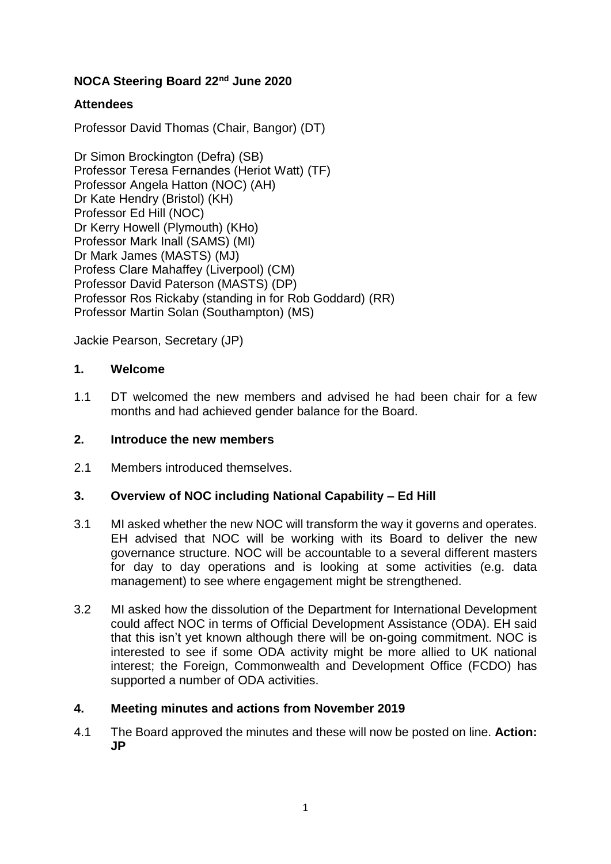# **NOCA Steering Board 22nd June 2020**

# **Attendees**

Professor David Thomas (Chair, Bangor) (DT)

Dr Simon Brockington (Defra) (SB) Professor Teresa Fernandes (Heriot Watt) (TF) Professor Angela Hatton (NOC) (AH) Dr Kate Hendry (Bristol) (KH) Professor Ed Hill (NOC) Dr Kerry Howell (Plymouth) (KHo) Professor Mark Inall (SAMS) (MI) Dr Mark James (MASTS) (MJ) Profess Clare Mahaffey (Liverpool) (CM) Professor David Paterson (MASTS) (DP) Professor Ros Rickaby (standing in for Rob Goddard) (RR) Professor Martin Solan (Southampton) (MS)

Jackie Pearson, Secretary (JP)

## **1. Welcome**

1.1 DT welcomed the new members and advised he had been chair for a few months and had achieved gender balance for the Board.

## **2. Introduce the new members**

2.1 Members introduced themselves.

## **3. Overview of NOC including National Capability – Ed Hill**

- 3.1 MI asked whether the new NOC will transform the way it governs and operates. EH advised that NOC will be working with its Board to deliver the new governance structure. NOC will be accountable to a several different masters for day to day operations and is looking at some activities (e.g. data management) to see where engagement might be strengthened.
- 3.2 MI asked how the dissolution of the Department for International Development could affect NOC in terms of Official Development Assistance (ODA). EH said that this isn't yet known although there will be on-going commitment. NOC is interested to see if some ODA activity might be more allied to UK national interest; the Foreign, Commonwealth and Development Office (FCDO) has supported a number of ODA activities.

## **4. Meeting minutes and actions from November 2019**

4.1 The Board approved the minutes and these will now be posted on line. **Action: JP**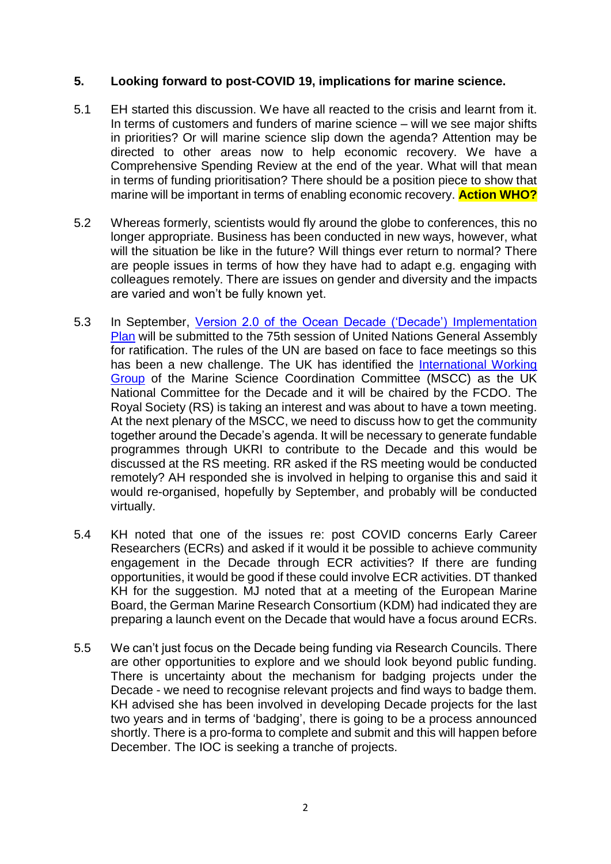# **5. Looking forward to post-COVID 19, implications for marine science.**

- 5.1 EH started this discussion. We have all reacted to the crisis and learnt from it. In terms of customers and funders of marine science – will we see major shifts in priorities? Or will marine science slip down the agenda? Attention may be directed to other areas now to help economic recovery. We have a Comprehensive Spending Review at the end of the year. What will that mean in terms of funding prioritisation? There should be a position piece to show that marine will be important in terms of enabling economic recovery. **Action WHO?**
- 5.2 Whereas formerly, scientists would fly around the globe to conferences, this no longer appropriate. Business has been conducted in new ways, however, what will the situation be like in the future? Will things ever return to normal? There are people issues in terms of how they have had to adapt e.g. engaging with colleagues remotely. There are issues on gender and diversity and the impacts are varied and won't be fully known yet.
- 5.3 In September, [Version 2.0 of the Ocean Decade \('Decade'\)](https://www.oceandecade.org/resource/108/Version-20-of-the-Ocean-Decade-Implementation-Plan-#:~:text=-Version%202.0%20of%20the%20Implementation%20Plan%20incorporates%20significant,Ocean%20Professionals%20that%20was%20established%20in%20late%202019.) Implementation [Plan](https://www.oceandecade.org/resource/108/Version-20-of-the-Ocean-Decade-Implementation-Plan-#:~:text=-Version%202.0%20of%20the%20Implementation%20Plan%20incorporates%20significant,Ocean%20Professionals%20that%20was%20established%20in%20late%202019.) will be submitted to the 75th session of United Nations General Assembly for ratification. The rules of the UN are based on face to face meetings so this has been a new challenge. The UK has identified the [International Working](https://projects.noc.ac.uk/iwg/)  [Group](https://projects.noc.ac.uk/iwg/) of the Marine Science Coordination Committee (MSCC) as the UK National Committee for the Decade and it will be chaired by the FCDO. The Royal Society (RS) is taking an interest and was about to have a town meeting. At the next plenary of the MSCC, we need to discuss how to get the community together around the Decade's agenda. It will be necessary to generate fundable programmes through UKRI to contribute to the Decade and this would be discussed at the RS meeting. RR asked if the RS meeting would be conducted remotely? AH responded she is involved in helping to organise this and said it would re-organised, hopefully by September, and probably will be conducted virtually.
- 5.4 KH noted that one of the issues re: post COVID concerns Early Career Researchers (ECRs) and asked if it would it be possible to achieve community engagement in the Decade through ECR activities? If there are funding opportunities, it would be good if these could involve ECR activities. DT thanked KH for the suggestion. MJ noted that at a meeting of the European Marine Board, the German Marine Research Consortium (KDM) had indicated they are preparing a launch event on the Decade that would have a focus around ECRs.
- 5.5 We can't just focus on the Decade being funding via Research Councils. There are other opportunities to explore and we should look beyond public funding. There is uncertainty about the mechanism for badging projects under the Decade - we need to recognise relevant projects and find ways to badge them. KH advised she has been involved in developing Decade projects for the last two years and in terms of 'badging', there is going to be a process announced shortly. There is a pro-forma to complete and submit and this will happen before December. The IOC is seeking a tranche of projects.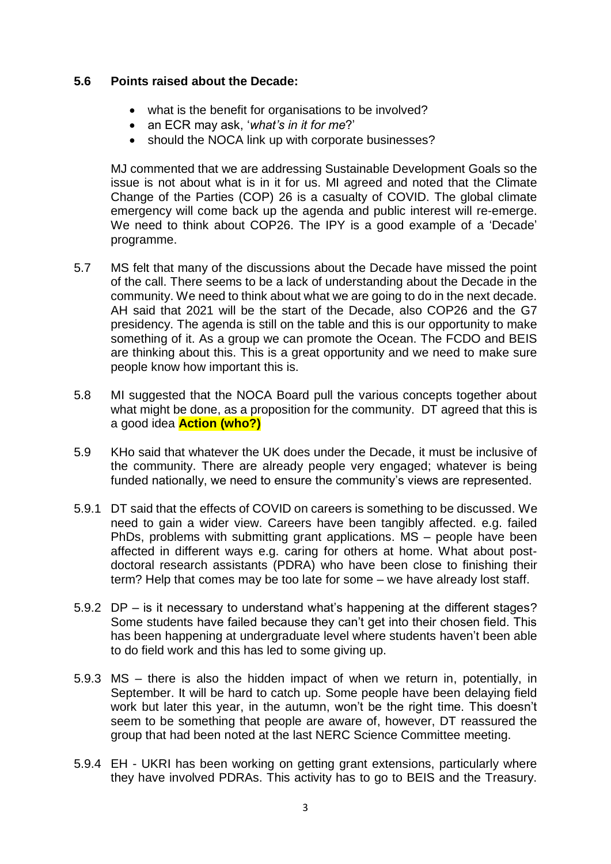## **5.6 Points raised about the Decade:**

- what is the benefit for organisations to be involved?
- an ECR may ask, '*what's in it for me*?'
- should the NOCA link up with corporate businesses?

MJ commented that we are addressing Sustainable Development Goals so the issue is not about what is in it for us. MI agreed and noted that the Climate Change of the Parties (COP) 26 is a casualty of COVID. The global climate emergency will come back up the agenda and public interest will re-emerge. We need to think about COP26. The IPY is a good example of a 'Decade' programme.

- 5.7 MS felt that many of the discussions about the Decade have missed the point of the call. There seems to be a lack of understanding about the Decade in the community. We need to think about what we are going to do in the next decade. AH said that 2021 will be the start of the Decade, also COP26 and the G7 presidency. The agenda is still on the table and this is our opportunity to make something of it. As a group we can promote the Ocean. The FCDO and BEIS are thinking about this. This is a great opportunity and we need to make sure people know how important this is.
- 5.8 MI suggested that the NOCA Board pull the various concepts together about what might be done, as a proposition for the community. DT agreed that this is a good idea **Action (who?)**
- 5.9 KHo said that whatever the UK does under the Decade, it must be inclusive of the community. There are already people very engaged; whatever is being funded nationally, we need to ensure the community's views are represented.
- 5.9.1 DT said that the effects of COVID on careers is something to be discussed. We need to gain a wider view. Careers have been tangibly affected. e.g. failed PhDs, problems with submitting grant applications. MS – people have been affected in different ways e.g. caring for others at home. What about postdoctoral research assistants (PDRA) who have been close to finishing their term? Help that comes may be too late for some – we have already lost staff.
- 5.9.2 DP is it necessary to understand what's happening at the different stages? Some students have failed because they can't get into their chosen field. This has been happening at undergraduate level where students haven't been able to do field work and this has led to some giving up.
- 5.9.3 MS there is also the hidden impact of when we return in, potentially, in September. It will be hard to catch up. Some people have been delaying field work but later this year, in the autumn, won't be the right time. This doesn't seem to be something that people are aware of, however, DT reassured the group that had been noted at the last NERC Science Committee meeting.
- 5.9.4 EH UKRI has been working on getting grant extensions, particularly where they have involved PDRAs. This activity has to go to BEIS and the Treasury.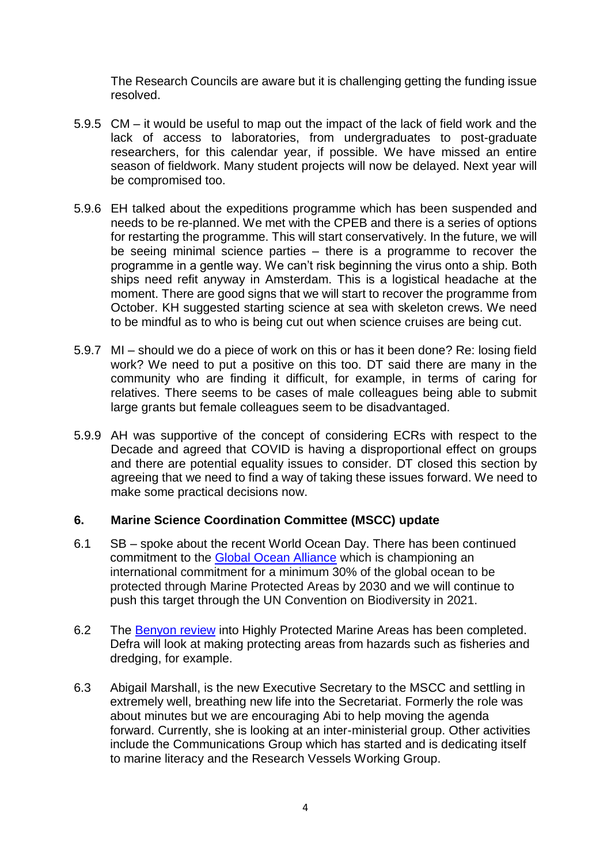The Research Councils are aware but it is challenging getting the funding issue resolved.

- 5.9.5 CM it would be useful to map out the impact of the lack of field work and the lack of access to laboratories, from undergraduates to post-graduate researchers, for this calendar year, if possible. We have missed an entire season of fieldwork. Many student projects will now be delayed. Next year will be compromised too.
- 5.9.6 EH talked about the expeditions programme which has been suspended and needs to be re-planned. We met with the CPEB and there is a series of options for restarting the programme. This will start conservatively. In the future, we will be seeing minimal science parties – there is a programme to recover the programme in a gentle way. We can't risk beginning the virus onto a ship. Both ships need refit anyway in Amsterdam. This is a logistical headache at the moment. There are good signs that we will start to recover the programme from October. KH suggested starting science at sea with skeleton crews. We need to be mindful as to who is being cut out when science cruises are being cut.
- 5.9.7 MI should we do a piece of work on this or has it been done? Re: losing field work? We need to put a positive on this too. DT said there are many in the community who are finding it difficult, for example, in terms of caring for relatives. There seems to be cases of male colleagues being able to submit large grants but female colleagues seem to be disadvantaged.
- 5.9.9 AH was supportive of the concept of considering ECRs with respect to the Decade and agreed that COVID is having a disproportional effect on groups and there are potential equality issues to consider. DT closed this section by agreeing that we need to find a way of taking these issues forward. We need to make some practical decisions now.

## **6. Marine Science Coordination Committee (MSCC) update**

- 6.1 SB spoke about the recent World Ocean Day. There has been continued commitment to the [Global Ocean Alliance](https://www.gov.uk/government/news/global-ocean-alliance-30-countries-are-now-calling-for-greater-ocean-protection) which is championing an international commitment for a minimum 30% of the global ocean to be protected through Marine Protected Areas by 2030 and we will continue to push this target through the UN Convention on Biodiversity in 2021.
- 6.2 The [Benyon review](https://www.gov.uk/government/publications/highly-protected-marine-areas-hpmas-review-2019/benyon-review-into-highly-protected-marine-areas-final-report-executive-summary) into Highly Protected Marine Areas has been completed. Defra will look at making protecting areas from hazards such as fisheries and dredging, for example.
- 6.3 Abigail Marshall, is the new Executive Secretary to the MSCC and settling in extremely well, breathing new life into the Secretariat. Formerly the role was about minutes but we are encouraging Abi to help moving the agenda forward. Currently, she is looking at an inter-ministerial group. Other activities include the Communications Group which has started and is dedicating itself to marine literacy and the Research Vessels Working Group.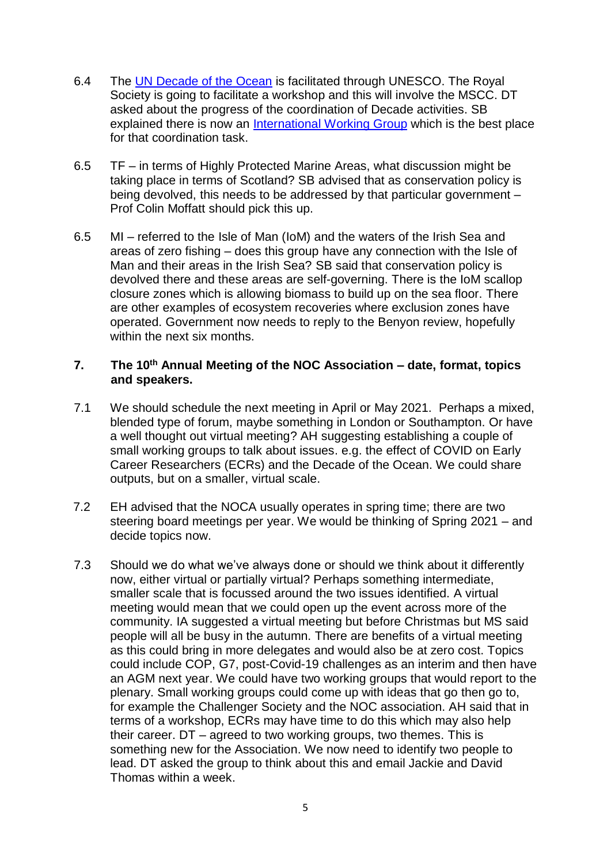- 6.4 The [UN Decade of the Ocean](https://en.unesco.org/ocean-decade) is facilitated through UNESCO. The Royal Society is going to facilitate a workshop and this will involve the MSCC. DT asked about the progress of the coordination of Decade activities. SB explained there is now an [International Working Group](https://projects.noc.ac.uk/iwg/) which is the best place for that coordination task.
- 6.5 TF in terms of Highly Protected Marine Areas, what discussion might be taking place in terms of Scotland? SB advised that as conservation policy is being devolved, this needs to be addressed by that particular government – Prof Colin Moffatt should pick this up.
- 6.5 MI referred to the Isle of Man (IoM) and the waters of the Irish Sea and areas of zero fishing – does this group have any connection with the Isle of Man and their areas in the Irish Sea? SB said that conservation policy is devolved there and these areas are self-governing. There is the IoM scallop closure zones which is allowing biomass to build up on the sea floor. There are other examples of ecosystem recoveries where exclusion zones have operated. Government now needs to reply to the Benyon review, hopefully within the next six months.

# **7. The 10th Annual Meeting of the NOC Association – date, format, topics and speakers.**

- 7.1 We should schedule the next meeting in April or May 2021. Perhaps a mixed, blended type of forum, maybe something in London or Southampton. Or have a well thought out virtual meeting? AH suggesting establishing a couple of small working groups to talk about issues. e.g. the effect of COVID on Early Career Researchers (ECRs) and the Decade of the Ocean. We could share outputs, but on a smaller, virtual scale.
- 7.2 EH advised that the NOCA usually operates in spring time; there are two steering board meetings per year. We would be thinking of Spring 2021 – and decide topics now.
- 7.3 Should we do what we've always done or should we think about it differently now, either virtual or partially virtual? Perhaps something intermediate, smaller scale that is focussed around the two issues identified. A virtual meeting would mean that we could open up the event across more of the community. IA suggested a virtual meeting but before Christmas but MS said people will all be busy in the autumn. There are benefits of a virtual meeting as this could bring in more delegates and would also be at zero cost. Topics could include COP, G7, post-Covid-19 challenges as an interim and then have an AGM next year. We could have two working groups that would report to the plenary. Small working groups could come up with ideas that go then go to, for example the Challenger Society and the NOC association. AH said that in terms of a workshop, ECRs may have time to do this which may also help their career. DT – agreed to two working groups, two themes. This is something new for the Association. We now need to identify two people to lead. DT asked the group to think about this and email Jackie and David Thomas within a week.